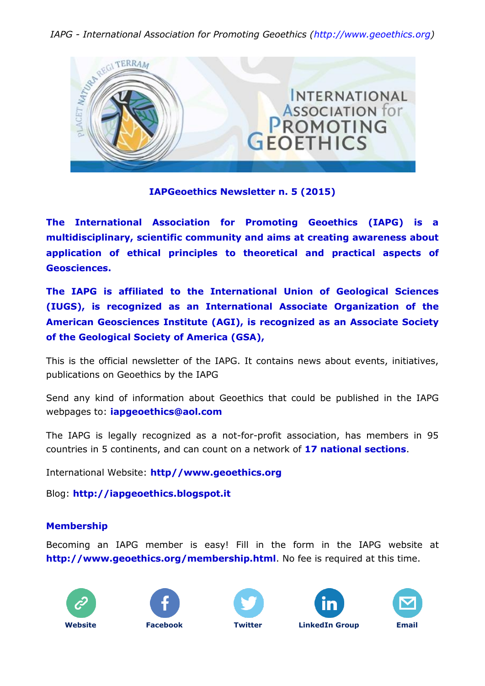

## **IAPGeoethics Newsletter n. 5 (2015)**

**The International Association for Promoting Geoethics (IAPG) is a multidisciplinary, scientific community and aims at creating awareness about application of ethical principles to theoretical and practical aspects of Geosciences.**

**The IAPG is affiliated to the International Union of Geological Sciences (IUGS), is recognized as an International Associate Organization of the American Geosciences Institute (AGI), is recognized as an Associate Society of the Geological Society of America (GSA),**

This is the official newsletter of the IAPG. It contains news about events, initiatives, publications on Geoethics by the IAPG

Send any kind of information about Geoethics that could be published in the IAPG webpages to: **[iapgeoethics@aol.com](mailto:iapgeoethics@aol.com?subject=IAPG%20newsletter)**

The IAPG is legally recognized as a not-for-profit association, has members in 95 countries in 5 continents, and can count on a network of **[17 national sections](http://www.geoethics.org/sections.html)**.

International Website: **[http//www.geoethics.org](http://www.geoethics.org/)**

Blog: **[http://iapgeoethics.blogspot.it](http://iapgeoethics.blogspot.it/)**

### **Membership**

Becoming an IAPG member is easy! Fill in the form in the IAPG website at **<http://www.geoethics.org/membership.html>**. No fee is required at this time.









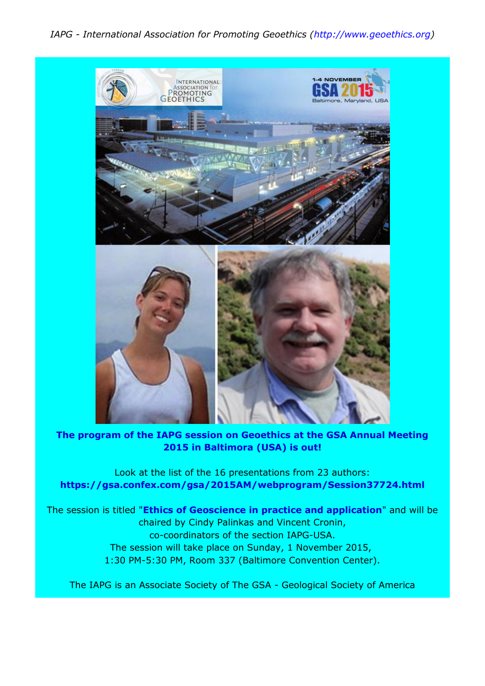

**The program of the IAPG session on Geoethics at the GSA Annual Meeting 2015 in Baltimora (USA) is out!**

Look at the list of the 16 presentations from 23 authors: **<https://gsa.confex.com/gsa/2015AM/webprogram/Session37724.html>**

The session is titled "**[Ethics of Geoscience in practice and application](https://gsa.confex.com/gsa/2015AM/webprogram/Session37724.html)**" and will be chaired by Cindy Palinkas and Vincent Cronin, co-coordinators of the section IAPG-USA. The session will take place on Sunday, 1 November 2015, 1:30 PM-5:30 PM, Room 337 (Baltimore Convention Center).

The IAPG is an Associate Society of The GSA - Geological Society of America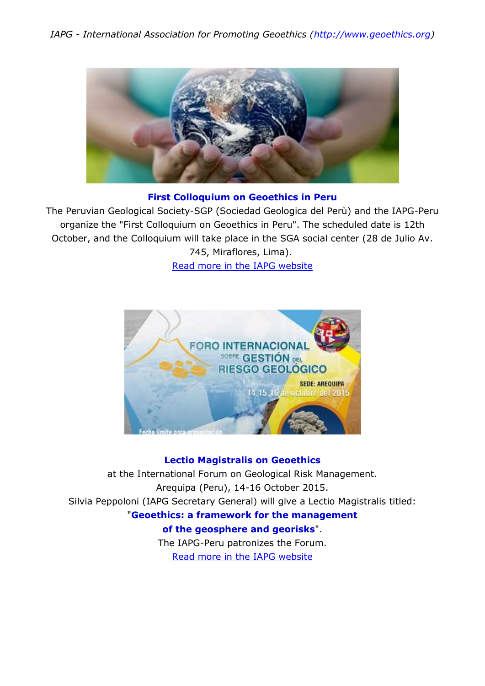

## **First Colloquium [on Geoethics in Peru](http://www.geoethics.org/colloquiumperu.html)**

The Peruvian Geological Society-SGP (Sociedad Geologica del Perù) and the IAPG-Peru organize the "First Colloquium on Geoethics in Peru". The scheduled date is 12th October, and the Colloquium will take place in the SGA social center (28 de Julio Av. 745, Miraflores, Lima).

[Read more in the IAPG website](http://www.geoethics.org/colloquiumperu.html)



## **[Lectio Magistralis on Geoethics](http://www.geoethics.org/forumperu.html)**

at the International Forum on Geological Risk Management. Arequipa (Peru), 14-16 October 2015. Silvia Peppoloni (IAPG Secretary General) will give a Lectio Magistralis titled: "**[Geoethics: a framework for the management](http://www.geoethics.org/forumperu.html)  [of the geosphere and georisks](http://www.geoethics.org/forumperu.html)**". The IAPG-Peru patronizes the Forum.

[Read more in the IAPG website](http://www.geoethics.org/forumperu.html)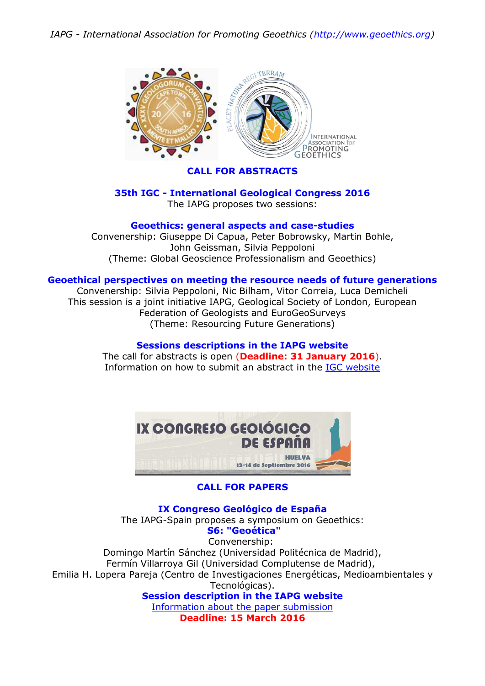

## **[CALL FOR ABSTRACTS](http://www.geoethics.org/35thigc.html)**

### **35th IGC - International Geological Congress 2016** The IAPG proposes two sessions:

### **[Geoethics: general aspects and case-studies](http://www.geoethics.org/35thigc.html)**

Convenership: Giuseppe Di Capua, Peter Bobrowsky, Martin Bohle, John Geissman, Silvia Peppoloni (Theme: Global Geoscience Professionalism and Geoethics)

#### **[Geoethical perspectives on meeting the resource needs of future generations](http://www.geoethics.org/35thigc.html)**

Convenership: Silvia Peppoloni, Nic Bilham, Vitor Correia, Luca Demicheli This session is a joint initiative IAPG, Geological Society of London, European Federation of Geologists and EuroGeoSurveys (Theme: Resourcing Future Generations)

**Sessions [descriptions in the IAPG website](http://www.geoethics.org/35thigc.html)** The call for abstracts is open (**Deadline: 31 January 2016**). Information on how to submit an abstract in the [IGC website](http://www.35igc.org/Verso/211/Submit-an-Abstract)



### **CALL FOR PAPERS**

**IX Congreso Geológico de España** The IAPG-Spain proposes a symposium on Geoethics: **[S6: "Geoética"](http://www.congresogeologicoespaña.com/simposios.html)** Convenership: Domingo Martín Sánchez (Universidad Politécnica de Madrid), Fermín Villarroya Gil (Universidad Complutense de Madrid), Emilia H. Lopera Pareja (Centro de Investigaciones Energéticas, Medioambientales y Tecnológicas). **[Session description in the IAPG website](http://www.geoethics.org/events.html)** [Information about the paper submission](http://www.congresogeologicoespaña.com/normativas.html)

**Deadline: 15 March 2016**